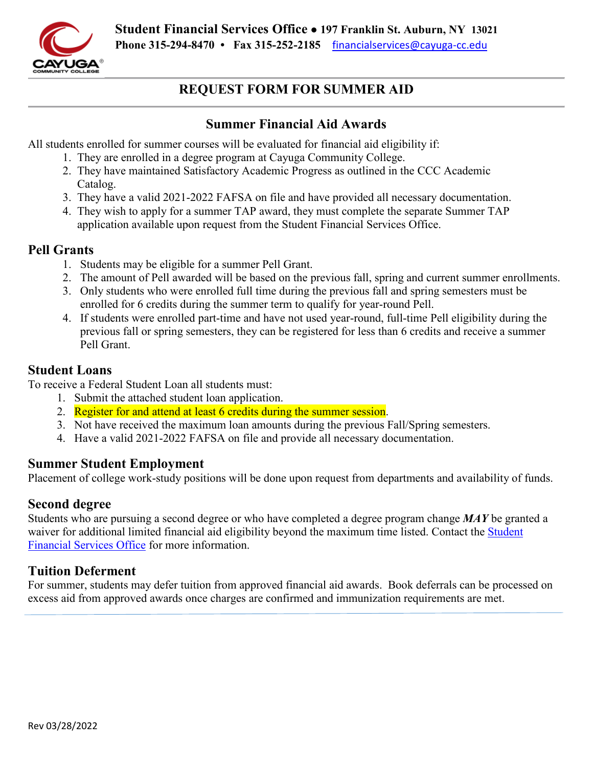

#### **REQUEST FORM FOR SUMMER AID**

#### **Summer Financial Aid Awards**

All students enrolled for summer courses will be evaluated for financial aid eligibility if:

- 1. They are enrolled in a degree program at Cayuga Community College.
- 2. They have maintained Satisfactory Academic Progress as outlined in the CCC Academic Catalog.
- 3. They have a valid 2021-2022 FAFSA on file and have provided all necessary documentation.
- 4. They wish to apply for a summer TAP award, they must complete the separate Summer TAP application available upon request from the Student Financial Services Office.

#### **Pell Grants**

- 1. Students may be eligible for a summer Pell Grant.
- 2. The amount of Pell awarded will be based on the previous fall, spring and current summer enrollments.
- enrolled for 6 credits during the summer term to qualify for year-round Pell. 3. Only students who were enrolled full time during the previous fall and spring semesters must be
- 4. If students were enrolled part-time and have not used year-round, full-time Pell eligibility during the previous fall or spring semesters, they can be registered for less than 6 credits and receive a summer Pell Grant.

#### **Student Loans**

To receive a Federal Student Loan all students must:

- 1. Submit the attached student loan application.
- 2. Register for and attend at least 6 credits during the summer session.
- 3. Not have received the maximum loan amounts during the previous Fall/Spring semesters.
- 4. Have a valid 2021-2022 FAFSA on file and provide all necessary documentation.

#### **Summer Student Employment**

Placement of college work-study positions will be done upon request from departments and availability of funds.

#### **Second degree**

 Students who are pursuing a second degree or who have completed a degree program change *MAY* be granted a waiver for additional limited financial aid eligibility beyond the maximum time listed. Contact the Student [Financial Services Office](mailto:financialservices@cayuga-cc.edu) for more information.

#### **Tuition Deferment**

For summer, students may defer tuition from approved financial aid awards. Book deferrals can be processed on excess aid from approved awards once charges are confirmed and immunization requirements are met.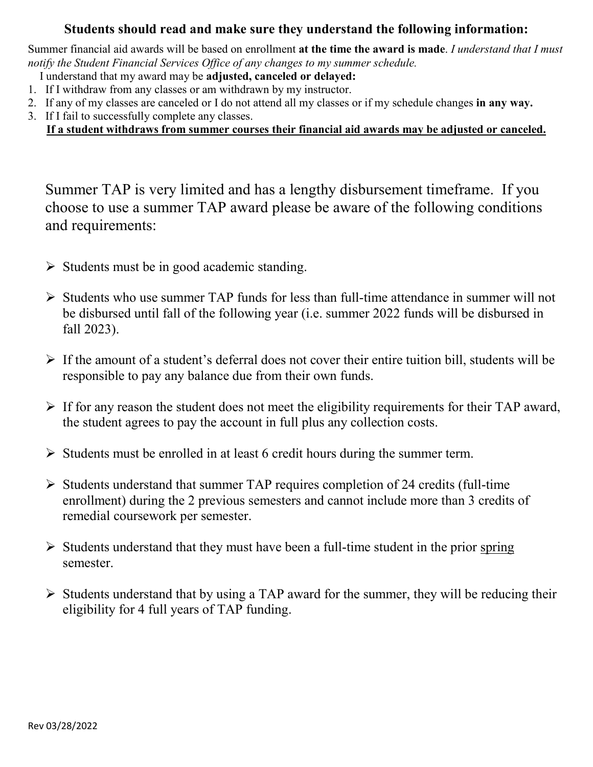#### **Students should read and make sure they understand the following information:**

Summer financial aid awards will be based on enrollment **at the time the award is made**. *I understand that I must notify the Student Financial Services Office of any changes to my summer schedule.* 

- I understand that my award may be **adjusted, canceled or delayed:**
- 1. If I withdraw from any classes or am withdrawn by my instructor.
- 2. If any of my classes are canceled or I do not attend all my classes or if my schedule changes **in any way.**
- 3. If I fail to successfully complete any classes.

#### **If a student withdraws from summer courses their financial aid awards may be adjusted or canceled.**

 choose to use a summer TAP award please be aware of the following conditions Summer TAP is very limited and has a lengthy disbursement timeframe. If you and requirements:

- $\triangleright$  Students must be in good academic standing.
- $\triangleright$  Students who use summer TAP funds for less than full-time attendance in summer will not be disbursed until fall of the following year (i.e. summer 2022 funds will be disbursed in fall 2023).
- $\triangleright$  If the amount of a student's deferral does not cover their entire tuition bill, students will be responsible to pay any balance due from their own funds.
- $\triangleright$  If for any reason the student does not meet the eligibility requirements for their TAP award, the student agrees to pay the account in full plus any collection costs.
- $\triangleright$  Students must be enrolled in at least 6 credit hours during the summer term.
- $\triangleright$  Students understand that summer TAP requires completion of 24 credits (full-time enrollment) during the 2 previous semesters and cannot include more than 3 credits of remedial coursework per semester.
- $\triangleright$  Students understand that they must have been a full-time student in the prior spring semester.
- $\triangleright$  Students understand that by using a TAP award for the summer, they will be reducing their eligibility for 4 full years of TAP funding.